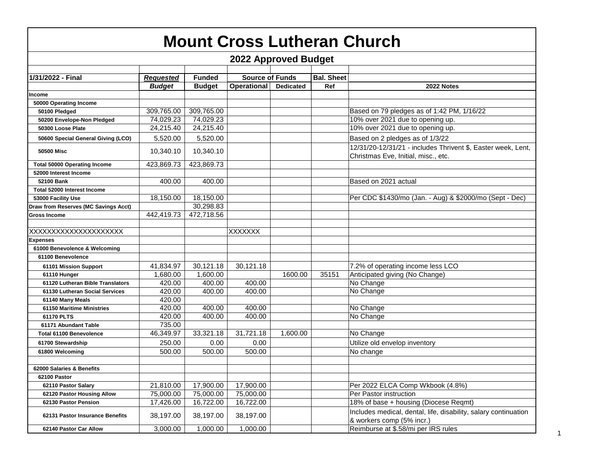| <b>Mount Cross Lutheran Church</b>   |                             |               |                        |                  |                   |                                                                                                     |  |  |  |  |  |
|--------------------------------------|-----------------------------|---------------|------------------------|------------------|-------------------|-----------------------------------------------------------------------------------------------------|--|--|--|--|--|
|                                      | <b>2022 Approved Budget</b> |               |                        |                  |                   |                                                                                                     |  |  |  |  |  |
| 1/31/2022 - Final                    | <b>Requested</b>            | <b>Funded</b> | <b>Source of Funds</b> |                  | <b>Bal. Sheet</b> |                                                                                                     |  |  |  |  |  |
|                                      | <b>Budget</b>               | <b>Budget</b> | <b>Operational</b>     | <b>Dedicated</b> | Ref               | 2022 Notes                                                                                          |  |  |  |  |  |
| Income                               |                             |               |                        |                  |                   |                                                                                                     |  |  |  |  |  |
| 50000 Operating Income               |                             |               |                        |                  |                   |                                                                                                     |  |  |  |  |  |
| 50100 Pledged                        | 309,765.00                  | 309,765.00    |                        |                  |                   | Based on 79 pledges as of 1:42 PM, 1/16/22                                                          |  |  |  |  |  |
| 50200 Envelope-Non Pledged           | 74,029.23                   | 74,029.23     |                        |                  |                   | 10% over 2021 due to opening up.                                                                    |  |  |  |  |  |
| 50300 Loose Plate                    | 24,215.40                   | 24,215.40     |                        |                  |                   | 10% over 2021 due to opening up.                                                                    |  |  |  |  |  |
| 50600 Special General Giving (LCO)   | 5.520.00                    | 5,520.00      |                        |                  |                   | Based on 2 pledges as of 1/3/22                                                                     |  |  |  |  |  |
| <b>50500 Misc</b>                    | 10,340.10                   | 10,340.10     |                        |                  |                   | 12/31/20-12/31/21 - includes Thrivent \$, Easter week, Lent,<br>Christmas Eve, Initial, misc., etc. |  |  |  |  |  |
| <b>Total 50000 Operating Income</b>  | 423,869.73                  | 423,869.73    |                        |                  |                   |                                                                                                     |  |  |  |  |  |
| 52000 Interest Income                |                             |               |                        |                  |                   |                                                                                                     |  |  |  |  |  |
| 52100 Bank                           | 400.00                      | 400.00        |                        |                  |                   | Based on 2021 actual                                                                                |  |  |  |  |  |
| <b>Total 52000 Interest Income</b>   |                             |               |                        |                  |                   |                                                                                                     |  |  |  |  |  |
| 53000 Facility Use                   | 18,150.00                   | 18,150.00     |                        |                  |                   | Per CDC \$1430/mo (Jan. - Aug) & \$2000/mo (Sept - Dec)                                             |  |  |  |  |  |
| Draw from Reserves (MC Savings Acct) |                             | 30,298.83     |                        |                  |                   |                                                                                                     |  |  |  |  |  |
| <b>Gross Income</b>                  | 442,419.73                  | 472,718.56    |                        |                  |                   |                                                                                                     |  |  |  |  |  |
|                                      |                             |               |                        |                  |                   |                                                                                                     |  |  |  |  |  |
| XXXXXXXXXXXXXXXXXXXXXX               |                             |               | <b>XXXXXXX</b>         |                  |                   |                                                                                                     |  |  |  |  |  |
| <b>Expenses</b>                      |                             |               |                        |                  |                   |                                                                                                     |  |  |  |  |  |
| 61000 Benevolence & Welcoming        |                             |               |                        |                  |                   |                                                                                                     |  |  |  |  |  |
| 61100 Benevolence                    |                             |               |                        |                  |                   |                                                                                                     |  |  |  |  |  |
| 61101 Mission Support                | 41,834.97                   | 30,121.18     | 30,121.18              |                  |                   | 7.2% of operating income less LCO                                                                   |  |  |  |  |  |
| 61110 Hunger                         | 1,680.00                    | 1,600.00      |                        | 1600.00          | 35151             | Anticipated giving (No Change)                                                                      |  |  |  |  |  |
| 61120 Lutheran Bible Translators     | 420.00                      | 400.00        | 400.00                 |                  |                   | No Change                                                                                           |  |  |  |  |  |
| 61130 Lutheran Social Services       | 420.00                      | 400.00        | 400.00                 |                  |                   | No Change                                                                                           |  |  |  |  |  |
| 61140 Many Meals                     | 420.00                      |               |                        |                  |                   |                                                                                                     |  |  |  |  |  |
| <b>61150 Maritime Ministries</b>     | 420.00                      | 400.00        | 400.00                 |                  |                   | No Change                                                                                           |  |  |  |  |  |
| 61170 PLTS                           | 420.00                      | 400.00        | 400.00                 |                  |                   | No Change                                                                                           |  |  |  |  |  |
| 61171 Abundant Table                 | 735.00                      |               |                        |                  |                   |                                                                                                     |  |  |  |  |  |
| <b>Total 61100 Benevolence</b>       | 46,349.97                   | 33,321.18     | 31,721.18              | 1,600.00         |                   | No Change                                                                                           |  |  |  |  |  |
| 61700 Stewardship                    | 250.00                      | 0.00          | 0.00                   |                  |                   | Utilize old envelop inventory                                                                       |  |  |  |  |  |
| 61800 Welcoming                      | 500.00                      | 500.00        | 500.00                 |                  |                   | No change                                                                                           |  |  |  |  |  |
|                                      |                             |               |                        |                  |                   |                                                                                                     |  |  |  |  |  |
| 62000 Salaries & Benefits            |                             |               |                        |                  |                   |                                                                                                     |  |  |  |  |  |
| 62100 Pastor                         |                             |               |                        |                  |                   |                                                                                                     |  |  |  |  |  |
| 62110 Pastor Salary                  | 21,810.00                   | 17,900.00     | 17,900.00              |                  |                   | Per 2022 ELCA Comp Wkbook (4.8%)                                                                    |  |  |  |  |  |
| 62120 Pastor Housing Allow           | 75,000.00                   | 75,000.00     | 75,000.00              |                  |                   | Per Pastor instruction                                                                              |  |  |  |  |  |
| 62130 Pastor Pension                 | 17,426.00                   | 16,722.00     | 16,722.00              |                  |                   | 18% of base + housing (Diocese Reqmt)                                                               |  |  |  |  |  |
| 62131 Pastor Insurance Benefits      | 38,197.00                   | 38,197.00     | 38,197.00              |                  |                   | Includes medical, dental, life, disability, salary continuation<br>& workers comp (5% incr.)        |  |  |  |  |  |
| 62140 Pastor Car Allow               | 3,000.00                    | 1,000.00      | 1,000.00               |                  |                   | Reimburse at \$.58/mi per IRS rules                                                                 |  |  |  |  |  |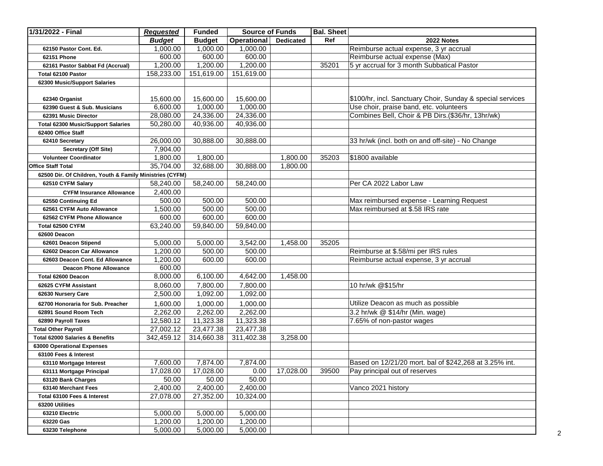| 1/31/2022 - Final                                        | <b>Requested</b> | <b>Funded</b> | <b>Source of Funds</b> |                  | <b>Bal. Sheet</b> |                                                            |
|----------------------------------------------------------|------------------|---------------|------------------------|------------------|-------------------|------------------------------------------------------------|
|                                                          | <b>Budget</b>    | <b>Budget</b> | <b>Operational</b>     | <b>Dedicated</b> | Ref               | 2022 Notes                                                 |
| 62150 Pastor Cont. Ed.                                   | 1,000.00         | 1,000.00      | 1,000.00               |                  |                   | Reimburse actual expense, 3 yr accrual                     |
| 62151 Phone                                              | 600.00           | 600.00        | 600.00                 |                  |                   | Reimburse actual expense (Max)                             |
| 62161 Pastor Sabbat Fd (Accrual)                         | 1,200.00         | 1,200.00      | 1,200.00               |                  | 35201             | 5 yr accrual for 3 month Subbatical Pastor                 |
| Total 62100 Pastor                                       | 158,233.00       | 151,619.00    | 151,619.00             |                  |                   |                                                            |
| 62300 Music/Support Salaries                             |                  |               |                        |                  |                   |                                                            |
|                                                          |                  |               |                        |                  |                   |                                                            |
| 62340 Organist                                           | 15,600.00        | 15,600.00     | 15,600.00              |                  |                   | \$100/hr, incl. Sanctuary Choir, Sunday & special services |
| 62390 Guest & Sub. Musicians                             | 6,600.00         | 1,000.00      | 1,000.00               |                  |                   | Use choir, praise band, etc. volunteers                    |
| 62391 Music Director                                     | 28,080.00        | 24,336.00     | 24,336.00              |                  |                   | Combines Bell, Choir & PB Dirs.(\$36/hr, 13hr/wk)          |
| <b>Total 62300 Music/Support Salaries</b>                | 50,280.00        | 40,936.00     | 40,936.00              |                  |                   |                                                            |
| 62400 Office Staff                                       |                  |               |                        |                  |                   |                                                            |
| 62410 Secretary                                          | 26,000.00        | 30,888.00     | 30,888.00              |                  |                   | 33 hr/wk (incl. both on and off-site) - No Change          |
| Secretary (Off Site)                                     | 7,904.00         |               |                        |                  |                   |                                                            |
| <b>Volunteer Coordinator</b>                             | 1,800.00         | 1,800.00      |                        | 1,800.00         | 35203             | \$1800 available                                           |
| <b>Office Staff Total</b>                                | 35,704.00        | 32,688.00     | 30,888.00              | 1,800.00         |                   |                                                            |
| 62500 Dir. Of Children, Youth & Family Ministries (CYFM) |                  |               |                        |                  |                   |                                                            |
| 62510 CYFM Salary                                        | 58,240.00        | 58,240.00     | 58,240.00              |                  |                   | Per CA 2022 Labor Law                                      |
| <b>CYFM Insurance Allowance</b>                          | 2,400.00         |               |                        |                  |                   |                                                            |
| 62550 Continuing Ed                                      | 500.00           | 500.00        | 500.00                 |                  |                   | Max reimbursed expense - Learning Request                  |
| 62561 CYFM Auto Allowance                                | 1,500.00         | 500.00        | 500.00                 |                  |                   | Max reimbursed at \$.58 IRS rate                           |
| 62562 CYFM Phone Allowance                               | 600.00           | 600.00        | 600.00                 |                  |                   |                                                            |
| Total 62500 CYFM                                         | 63,240.00        | 59,840.00     | 59,840.00              |                  |                   |                                                            |
| 62600 Deacon                                             |                  |               |                        |                  |                   |                                                            |
| 62601 Deacon Stipend                                     | 5,000.00         | 5,000.00      | 3,542.00               | 1,458.00         | 35205             |                                                            |
| 62602 Deacon Car Allowance                               | 1,200.00         | 500.00        | 500.00                 |                  |                   | Reimburse at \$.58/mi per IRS rules                        |
| 62603 Deacon Cont. Ed Allowance                          | 1,200.00         | 600.00        | 600.00                 |                  |                   | Reimburse actual expense, 3 yr accrual                     |
| <b>Deacon Phone Allowance</b>                            | 600.00           |               |                        |                  |                   |                                                            |
| Total 62600 Deacon                                       | 8,000.00         | 6,100.00      | 4,642.00               | 1,458.00         |                   |                                                            |
| 62625 CYFM Assistant                                     | 8,060.00         | 7,800.00      | 7,800.00               |                  |                   | 10 hr/wk @\$15/hr                                          |
| 62630 Nursery Care                                       | 2,500.00         | 1,092.00      | 1,092.00               |                  |                   |                                                            |
|                                                          |                  |               |                        |                  |                   |                                                            |
| 62700 Honoraria for Sub. Preacher                        | 1,600.00         | 1,000.00      | 1,000.00               |                  |                   | Utilize Deacon as much as possible                         |
| 62891 Sound Room Tech                                    | 2,262.00         | 2,262.00      | 2,262.00               |                  |                   | 3.2 hr/wk @ \$14/hr (Min. wage)                            |
| 62890 Payroll Taxes                                      | 12,580.12        | 11,323.38     | 11,323.38              |                  |                   | 7.65% of non-pastor wages                                  |
| <b>Total Other Payroll</b>                               | 27,002.12        | 23,477.38     | 23,477.38              |                  |                   |                                                            |
| Total 62000 Salaries & Benefits                          | 342,459.12       | 314,660.38    | 311,402.38             | 3,258.00         |                   |                                                            |
| 63000 Operational Expenses                               |                  |               |                        |                  |                   |                                                            |
| 63100 Fees & Interest                                    |                  |               |                        |                  |                   |                                                            |
| 63110 Mortgage Interest                                  | 7,600.00         | 7,874.00      | 7,874.00               |                  |                   | Based on 12/21/20 mort. bal of \$242,268 at 3.25% int.     |
| 63111 Mortgage Principal                                 | 17,028.00        | 17,028.00     | 0.00                   | 17,028.00        | 39500             | Pay principal out of reserves                              |
| 63120 Bank Charges                                       | 50.00            | 50.00         | 50.00                  |                  |                   |                                                            |
| 63140 Merchant Fees                                      | 2,400.00         | 2,400.00      | 2,400.00               |                  |                   | Vanco 2021 history                                         |
| Total 63100 Fees & Interest                              | 27,078.00        | 27,352.00     | 10,324.00              |                  |                   |                                                            |
| 63200 Utilities                                          |                  |               |                        |                  |                   |                                                            |
| 63210 Electric                                           | 5,000.00         | 5,000.00      | 5,000.00               |                  |                   |                                                            |
| 63220 Gas                                                | 1,200.00         | 1,200.00      | 1,200.00               |                  |                   |                                                            |
| 63230 Telephone                                          | 5,000.00         | 5,000.00      | 5,000.00               |                  |                   |                                                            |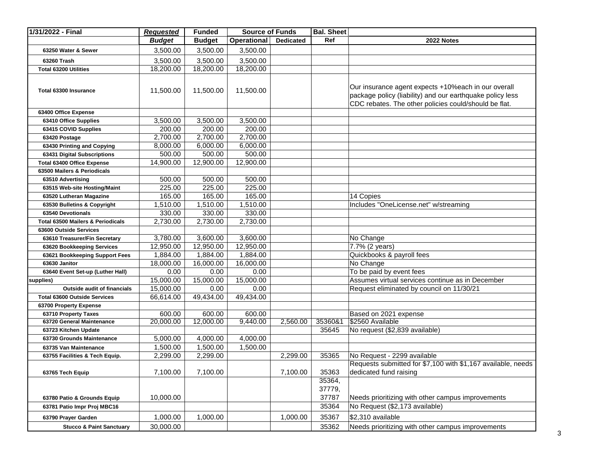| 1/31/2022 - Final                   | <b>Requested</b> | <b>Funded</b> | <b>Source of Funds</b> |                  | <b>Bal. Sheet</b> |                                                                                                                                                                            |
|-------------------------------------|------------------|---------------|------------------------|------------------|-------------------|----------------------------------------------------------------------------------------------------------------------------------------------------------------------------|
|                                     | <b>Budget</b>    | <b>Budget</b> | <b>Operational</b>     | <b>Dedicated</b> | Ref               | 2022 Notes                                                                                                                                                                 |
| 63250 Water & Sewer                 | 3,500.00         | 3,500.00      | 3,500.00               |                  |                   |                                                                                                                                                                            |
| 63260 Trash                         | 3,500.00         | 3,500.00      | 3,500.00               |                  |                   |                                                                                                                                                                            |
| <b>Total 63200 Utilities</b>        | 18,200.00        | 18,200.00     | 18,200.00              |                  |                   |                                                                                                                                                                            |
|                                     |                  |               |                        |                  |                   |                                                                                                                                                                            |
| Total 63300 Insurance               | 11,500.00        | 11,500.00     | 11,500.00              |                  |                   | Our insurance agent expects +10% each in our overall<br>package policy (liability) and our earthquake policy less<br>CDC rebates. The other policies could/should be flat. |
| 63400 Office Expense                |                  |               |                        |                  |                   |                                                                                                                                                                            |
| 63410 Office Supplies               | 3,500.00         | 3,500.00      | 3,500.00               |                  |                   |                                                                                                                                                                            |
| 63415 COVID Supplies                | 200.00           | 200.00        | 200.00                 |                  |                   |                                                                                                                                                                            |
| 63420 Postage                       | 2,700.00         | 2,700.00      | 2,700.00               |                  |                   |                                                                                                                                                                            |
| 63430 Printing and Copying          | 8,000.00         | 6,000.00      | 6,000.00               |                  |                   |                                                                                                                                                                            |
| 63431 Digital Subscriptions         | 500.00           | 500.00        | 500.00                 |                  |                   |                                                                                                                                                                            |
| Total 63400 Office Expense          | 14,900.00        | 12,900.00     | 12,900.00              |                  |                   |                                                                                                                                                                            |
| 63500 Mailers & Periodicals         |                  |               |                        |                  |                   |                                                                                                                                                                            |
| 63510 Advertising                   | 500.00           | 500.00        | 500.00                 |                  |                   |                                                                                                                                                                            |
| 63515 Web-site Hosting/Maint        | 225.00           | 225.00        | 225.00                 |                  |                   |                                                                                                                                                                            |
| 63520 Lutheran Magazine             | 165.00           | 165.00        | 165.00                 |                  |                   | 14 Copies                                                                                                                                                                  |
| 63530 Bulletins & Copyright         | 1,510.00         | 1,510.00      | 1,510.00               |                  |                   | Includes "OneLicense.net" w/streaming                                                                                                                                      |
| 63540 Devotionals                   | 330.00           | 330.00        | 330.00                 |                  |                   |                                                                                                                                                                            |
| Total 63500 Mailers & Periodicals   | 2,730.00         | 2,730.00      | 2,730.00               |                  |                   |                                                                                                                                                                            |
| 63600 Outside Services              |                  |               |                        |                  |                   |                                                                                                                                                                            |
| 63610 Treasurer/Fin Secretary       | 3,780.00         | 3,600.00      | 3,600.00               |                  |                   | No Change                                                                                                                                                                  |
| 63620 Bookkeeping Services          | 12,950.00        | 12,950.00     | 12,950.00              |                  |                   | 7.7% (2 years)                                                                                                                                                             |
| 63621 Bookkeeping Support Fees      | 1,884.00         | 1,884.00      | 1,884.00               |                  |                   | Quickbooks & payroll fees                                                                                                                                                  |
| 63630 Janitor                       | 18,000.00        | 16,000.00     | 16,000.00              |                  |                   | No Change                                                                                                                                                                  |
| 63640 Event Set-up (Luther Hall)    | 0.00             | 0.00          | 0.00                   |                  |                   | To be paid by event fees                                                                                                                                                   |
| supplies)                           | 15,000.00        | 15,000.00     | 15,000.00              |                  |                   | Assumes virtual services continue as in December                                                                                                                           |
| <b>Outside audit of financials</b>  | 15,000.00        | 0.00          | 0.00                   |                  |                   | Request eliminated by council on 11/30/21                                                                                                                                  |
| <b>Total 63600 Outside Services</b> | 66,614.00        | 49,434.00     | 49,434.00              |                  |                   |                                                                                                                                                                            |
| 63700 Property Expense              |                  |               |                        |                  |                   |                                                                                                                                                                            |
| 63710 Property Taxes                | 600.00           | 600.00        | 600.00                 |                  |                   | Based on 2021 expense                                                                                                                                                      |
| 63720 General Maintenance           | 20,000.00        | 12,000.00     | 9,440.00               | 2,560.00         | 35360&1           | \$2560 Available                                                                                                                                                           |
| 63723 Kitchen Update                |                  |               |                        |                  | 35645             | No request (\$2,839 available)                                                                                                                                             |
| 63730 Grounds Maintenance           | 5,000.00         | 4,000.00      | 4,000.00               |                  |                   |                                                                                                                                                                            |
| 63735 Van Maintenance               | 1,500.00         | 1,500.00      | 1,500.00               |                  |                   |                                                                                                                                                                            |
| 63755 Facilities & Tech Equip.      | 2,299.00         | 2,299.00      |                        | 2,299.00         | 35365             | No Request - 2299 available                                                                                                                                                |
|                                     |                  |               |                        |                  |                   | Requests submitted for \$7,100 with \$1,167 available, needs                                                                                                               |
| 63765 Tech Equip                    | 7,100.00         | 7,100.00      |                        | 7,100.00         | 35363             | dedicated fund raising                                                                                                                                                     |
|                                     |                  |               |                        |                  | 35364,            |                                                                                                                                                                            |
|                                     |                  |               |                        |                  | 37779,            |                                                                                                                                                                            |
| 63780 Patio & Grounds Equip         | 10,000.00        |               |                        |                  | 37787             | Needs prioritizing with other campus improvements                                                                                                                          |
| 63781 Patio Impr Proj MBC16         |                  |               |                        |                  | 35364             | No Request (\$2,173 available)                                                                                                                                             |
| 63790 Prayer Garden                 | 1,000.00         | 1,000.00      |                        | 1,000.00         | 35367             | \$2,310 available                                                                                                                                                          |
|                                     |                  |               |                        |                  |                   |                                                                                                                                                                            |
| <b>Stucco &amp; Paint Sanctuary</b> | 30,000.00        |               |                        |                  | 35362             | Needs prioritizing with other campus improvements                                                                                                                          |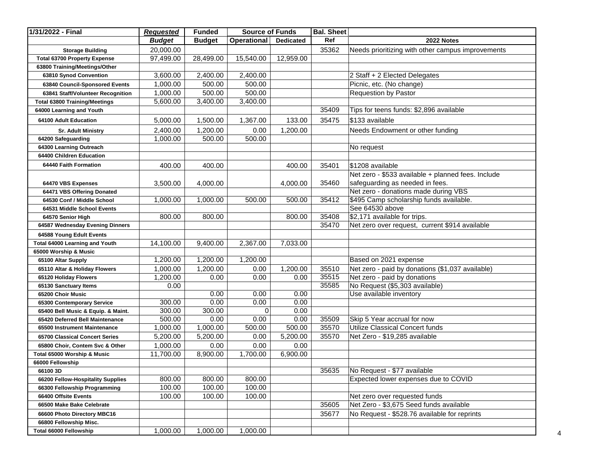| 1/31/2022 - Final                    | <b>Requested</b> | <b>Funded</b> | <b>Source of Funds</b> |                  | <b>Bal. Sheet</b> |                                                    |
|--------------------------------------|------------------|---------------|------------------------|------------------|-------------------|----------------------------------------------------|
|                                      | <b>Budget</b>    | <b>Budget</b> | <b>Operational</b>     | <b>Dedicated</b> | Ref               | 2022 Notes                                         |
| <b>Storage Building</b>              | 20,000.00        |               |                        |                  | 35362             | Needs prioritizing with other campus improvements  |
| <b>Total 63700 Property Expense</b>  | 97,499.00        | 28,499.00     | 15,540.00              | 12,959.00        |                   |                                                    |
| 63800 Training/Meetings/Other        |                  |               |                        |                  |                   |                                                    |
| 63810 Synod Convention               | 3,600.00         | 2,400.00      | 2,400.00               |                  |                   | 2 Staff + 2 Elected Delegates                      |
| 63840 Council-Sponsored Events       | 1,000.00         | 500.00        | 500.00                 |                  |                   | Picnic, etc. (No change)                           |
| 63841 Staff/Volunteer Recognition    | 1,000.00         | 500.00        | 500.00                 |                  |                   | <b>Requestion by Pastor</b>                        |
| <b>Total 63800 Training/Meetings</b> | 5,600.00         | 3,400.00      | 3,400.00               |                  |                   |                                                    |
| 64000 Learning and Youth             |                  |               |                        |                  | 35409             | Tips for teens funds: \$2,896 available            |
| 64100 Adult Education                | 5,000.00         | 1,500.00      | 1,367.00               | 133.00           | 35475             | \$133 available                                    |
| <b>Sr. Adult Ministry</b>            | 2,400.00         | 1,200.00      | 0.00                   | 1,200.00         |                   | Needs Endowment or other funding                   |
| 64200 Safeguarding                   | 1,000.00         | 500.00        | 500.00                 |                  |                   |                                                    |
| 64300 Learning Outreach              |                  |               |                        |                  |                   | No request                                         |
| 64400 Children Education             |                  |               |                        |                  |                   |                                                    |
| 64440 Faith Formation                | 400.00           | 400.00        |                        | 400.00           | 35401             | \$1208 available                                   |
|                                      |                  |               |                        |                  |                   | Net zero - \$533 available + planned fees. Include |
| 64470 VBS Expenses                   | 3,500.00         | 4,000.00      |                        | 4,000.00         | 35460             | safeguarding as needed in fees.                    |
| 64471 VBS Offering Donated           |                  |               |                        |                  |                   | Net zero - donations made during VBS               |
| 64530 Conf / Middle School           | 1,000.00         | 1,000.00      | 500.00                 | 500.00           | 35412             | \$495 Camp scholarship funds available.            |
| 64531 Middle School Events           |                  |               |                        |                  |                   | See 64530 above                                    |
| 64570 Senior High                    | 800.00           | 800.00        |                        | 800.00           | 35408             | \$2,171 available for trips.                       |
| 64587 Wednesday Evening Dinners      |                  |               |                        |                  | 35470             | Net zero over request, current \$914 available     |
| 64588 Young Edult Events             |                  |               |                        |                  |                   |                                                    |
| Total 64000 Learning and Youth       | 14,100.00        | 9,400.00      | 2,367.00               | 7,033.00         |                   |                                                    |
| 65000 Worship & Music                |                  |               |                        |                  |                   |                                                    |
| 65100 Altar Supply                   | 1,200.00         | 1,200.00      | 1,200.00               |                  |                   | Based on 2021 expense                              |
| 65110 Altar & Holiday Flowers        | 1,000.00         | 1,200.00      | 0.00                   | 1,200.00         | 35510             | Net zero - paid by donations (\$1,037 available)   |
| 65120 Holiday Flowers                | 1,200.00         | 0.00          | 0.00                   | 0.00             | 35515             | Net zero - paid by donations                       |
| 65130 Sanctuary Items                | 0.00             |               |                        |                  | 35585             | No Request (\$5,303 available)                     |
| 65200 Choir Music                    |                  | 0.00          | 0.00                   | 0.00             |                   | Use available inventory                            |
| 65300 Contemporary Service           | 300.00           | 0.00          | 0.00                   | 0.00             |                   |                                                    |
| 65400 Bell Music & Equip. & Maint.   | 300.00           | 300.00        | 0                      | 0.00             |                   |                                                    |
| 65420 Deferred Bell Maintenance      | 500.00           | 0.00          | 0.00                   | 0.00             | 35509             | Skip 5 Year accrual for now                        |
| 65500 Instrument Maintenance         | 1,000.00         | 1,000.00      | 500.00                 | 500.00           | 35570             | Utilize Classical Concert funds                    |
| 65700 Classical Concert Series       | 5,200.00         | 5,200.00      | 0.00                   | 5,200.00         | 35570             | Net Zero - \$19,285 available                      |
| 65800 Choir, Contem Svc & Other      | 1,000.00         | 0.00          | 0.00                   | 0.00             |                   |                                                    |
| Total 65000 Worship & Music          | 11,700.00        | 8,900.00      | 1,700.00               | 6,900.00         |                   |                                                    |
| 66000 Fellowship                     |                  |               |                        |                  |                   |                                                    |
| 66100 3D                             |                  |               |                        |                  | 35635             | No Request - \$77 available                        |
| 66200 Fellow-Hospitality Supplies    | 800.00           | 800.00        | 800.00                 |                  |                   | Expected lower expenses due to COVID               |
| 66300 Fellowship Programming         | 100.00           | 100.00        | 100.00                 |                  |                   |                                                    |
| 66400 Offsite Events                 | 100.00           | 100.00        | 100.00                 |                  |                   | Net zero over requested funds                      |
| 66500 Make Bake Celebrate            |                  |               |                        |                  | 35605             | Net Zero - \$3,675 Seed funds available            |
| 66600 Photo Directory MBC16          |                  |               |                        |                  | 35677             | No Request - \$528.76 available for reprints       |
| 66800 Fellowship Misc.               |                  |               |                        |                  |                   |                                                    |
| Total 66000 Fellowship               | 1,000.00         | 1,000.00      | 1,000.00               |                  |                   |                                                    |